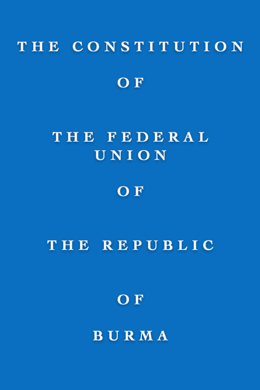# THE CONSTITUTION OF

# THE FEDERAL UNION

## OF

### THE REPUBLIC

OF

BURMA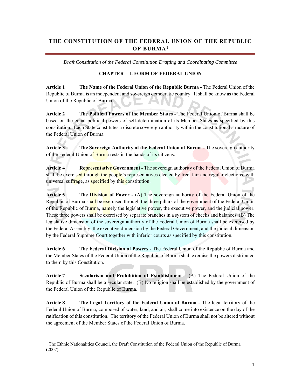#### **THE CONSTITUTION OF THE FEDERAL UNION OF THE REPUBLIC OF BURMA1**

*Draft Constitution of the Federal Constitution Drafting and Coordinating Committee* 

#### **CHAPTER – 1. FORM OF FEDERAL UNION**

**Article 1 The Name of the Federal Union of the Republic Burma -** The Federal Union of the Republic of Burma is an independent and sovereign democratic country. It shall be know as the Federal Union of the Republic of Burma.

**Article 2 The Political Powers of the Member States -** The Federal Union of Burma shall be based on the equal political powers of self-determination of its Member States as specified by this constitution. Each State constitutes a discrete sovereign authority within the constitutional structure of the Federal Union of Burma.

Article 3 The Sovereign Authority of the Federal Union of Burma - The sovereign authority of the Federal Union of Burma rests in the hands of its citizens.

**Article 4 Representative Government -** The sovereign authority of the Federal Union of Burma shall be exercised through the people's representatives elected by free, fair and regular elections, with universal suffrage, as specified by this constitution.

**Article 5** The **Division of Power -** (A) The sovereign authority of the Federal Union of the Republic of Burma shall be exercised through the three pillars of the government of the Federal Union of the Republic of Burma, namely the legislative power, the executive power, and the judicial power. These three powers shall be exercised by separate branches in a system of checks and balances. (B) The legislative dimension of the sovereign authority of the Federal Union of Burma shall be exercised by the Federal Assembly, the executive dimension by the Federal Government, and the judicial dimension by the Federal Supreme Court together with inferior courts as specified by this constitution.

**Article 6 The Federal Division of Powers -** The Federal Union of the Republic of Burma and the Member States of the Federal Union of the Republic of Burma shall exercise the powers distributed to them by this Constitution.

**Article 7 Secularism and Prohibition of Establishment -** (A) The Federal Union of the Republic of Burma shall be a secular state. (B) No religion shall be established by the government of the Federal Union of the Republic of Burma.

**Article 8 The Legal Territory of the Federal Union of Burma -** The legal territory of the Federal Union of Burma, composed of water, land, and air, shall come into existence on the day of the ratification of this constitution. The territory of the Federal Union of Burma shall not be altered without the agreement of the Member States of the Federal Union of Burma.

 $\overline{a}$ 

<sup>&</sup>lt;sup>1</sup> The Ethnic Nationalities Council, the Draft Constitution of the Federal Union of the Republic of Burma (2007).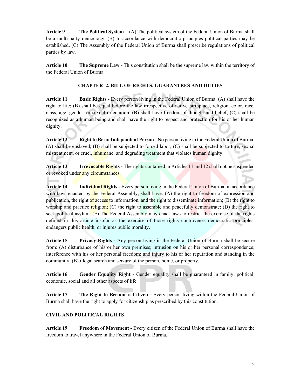**Article 9 The Political System – (A)** The political system of the Federal Union of Burma shall be a multi-party democracy. (B) In accordance with democratic principles political parties may be established. (C) The Assembly of the Federal Union of Burma shall prescribe regulations of political parties by law.

**Article 10 The Supreme Law -** This constitution shall be the supreme law within the territory of the Federal Union of Burma

#### **CHAPTER 2. BILL OF RIGHTS, GUARANTEES AND DUTIES**

**Article 11 Basic Rights -** Every person living in the Federal Union of Burma: (A) shall have the right to life; (B) shall be equal before the law irrespective of native birthplace, religion, color, race, class, age, gender, or sexual orientation. (B) shall have freedom of thought and belief; (C) shall be recognized as a human being and shall have the right to respect and protection for his or her human dignity.

**Article 12 Right to Be an Independent Person -** No person living in the Federal Union of Burma: (A) shall be enslaved; (B) shall be subjected to forced labor; (C) shall be subjected to torture, sexual mistreatment, or cruel, inhumane, and degrading treatment that violates human dignity.

**Article 13 Irrevocable Rights -** The rights contained in Articles 11 and 12 shall not be suspended or revoked under any circumstances.

**Article 14 Individual Rights -** Every person living in the Federal Union of Burma, in accordance with laws enacted by the Federal Assembly, shall have:  $(A)$  the right to freedom of expression and publication, the right of access to information, and the right to disseminate information; (B) the right to worship and practice religion;  $(C)$  the right to assemble and peacefully demonstrate;  $(D)$  the right to seek political asylum.  $(E)$  The Federal Assembly may enact laws to restrict the exercise of the rights defined in this article insofar as the exercise of those rights contravenes democratic principles, endangers public health, or injures public morality.

**Article 15 Privacy Rights -** Any person living in the Federal Union of Burma shall be secure from: (A) disturbance of his or her own premises; intrusion on his or her personal correspondence; interference with his or her personal freedom; and injury to his or her reputation and standing in the community. (B) illegal search and seizure of the person, home, or property.

**Article 16 Gender Equality Right -** Gender equality shall be guaranteed in family, political, economic, social and all other aspects of life.

Article 17 The Right to Become a Citizen - Every person living within the Federal Union of Burma shall have the right to apply for citizenship as prescribed by this constitution.

#### **CIVIL AND POLITICAL RIGHTS**

**Article 19 Freedom of Movement -** Every citizen of the Federal Union of Burma shall have the freedom to travel anywhere in the Federal Union of Burma.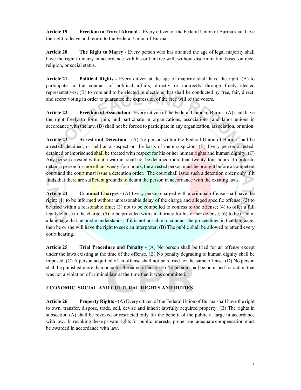**Article 19 Freedom to Travel Abroad -** Every citizen of the Federal Union of Burma shall have the right to leave and return to the Federal Union of Burma.

**Article 20** The Right to Marry - Every person who has attained the age of legal majority shall have the right to marry in accordance with his or her free will, without discrimination based on race, religion, or social status.

**Article 21 Political Rights -** Every citizen at the age of majority shall have the right: (A) to participate in the conduct of political affairs, directly or indirectly through freely elected representatives; (B) to vote and to be elected in elections that shall be conducted by free, fair, direct, and secret voting in order to guarantee the expression of the free will of the voters.

**Article 22 Freedom of Association -** Every citizen of the Federal Union of Burma: (A) shall have the right freely to form, join, and participate in organizations, associations, and labor unions in accordance with the law. (B) shall not be forced to participate in any organization, association, or union.

**Article 23 Arrest and Detention -** (A) No person within the Federal Union of Burma shall be arrested, detained, or held as a suspect on the basis of mere suspicion. (B) Every person arrested, detained or imprisoned shall be treated with respect for his or her human rights and human dignity. (C) Any person arrested without a warrant shall not be detained more than twenty-four hours. In order to detain a person for more than twenty-four hours, the arrested person must be brought before a competent court and the court must issue a detention order. The court shall issue such a detention order only if it finds that there are sufficient grounds to detain the person in accordance with the existing laws.

**Article 24 Criminal Charges -** (A) Every person charged with a criminal offense shall have the right: (1) to be informed without unreasonable delay of the charge and alleged specific offense; (2) to be tried within a reasonable time; (3) not to be compelled to confess to the offense; (4) to offer a full legal defense to the charge;  $(5)$  to be provided with an attorney for his or her defense; (6) to be tried in a language that he or she understands; if it is not possible to conduct the proceedings in that language, then he or she will have the right to seek an interpreter. (B) The public shall be allowed to attend every court hearing.

**Article 25 Trial Procedure and Penalty -** (A) No person shall be tried for an offense except under the laws existing at the time of the offense. (B) No penalty degrading to human dignity shall be imposed. (C) A person acquitted of an offense shall not be retried for the same offense. (D) No person shall be punished more than once for the same offense. (E) No person shall be punished for action that was not a violation of criminal law at the time that it was committed.

#### **ECONOMIC, SOCIAL AND CULTURAL RIGHTS AND DUTIES**

**Article 26 Property Rights -** (A) Every citizen of the Federal Union of Burma shall have the right to own, transfer, dispose, trade, sell, devise and inherit lawfully acquired property. (B) The rights in subsection (A) shall be revoked or restricted only for the benefit of the public at large in accordance with law. In revoking these private rights for public interests, proper and adequate compensation must be awarded in accordance with law.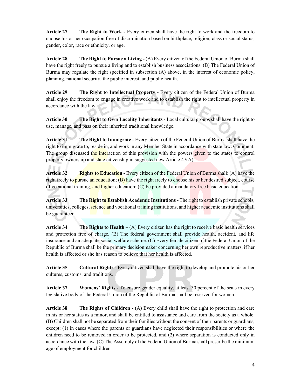**Article 27 The Right to Work -** Every citizen shall have the right to work and the freedom to choose his or her occupation free of discrimination based on birthplace, religion, class or social status, gender, color, race or ethnicity, or age.

**Article 28 The Right to Pursue a Living -** (A) Every citizen of the Federal Union of Burma shall have the right freely to pursue a living and to establish business associations. (B) The Federal Union of Burma may regulate the right specified in subsection (A) above, in the interest of economic policy, planning, national security, the public interest, and public health.

**Article 29 The Right to Intellectual Property - Every citizen of the Federal Union of Burma** shall enjoy the freedom to engage in creative work and to establish the right to intellectual property in accordance with the law.

**Article 30 The Right to Own Locality Inheritants -** Local cultural groups shall have the right to use, manage, and pass on their inherited traditional knowledge.

**Article 31 The Right to Immigrate -** Every citizen of the Federal Union of Burma shall have the right to immigrate to, reside in, and work in any Member State in accordance with state law. Comment: The group discussed the interaction of this provision with the powers given to the states to control property ownership and state citizenship in suggested new Article 47(A).

**Article 32 Rights to Education -** Every citizen of the Federal Union of Burma shall: (A) have the right freely to pursue an education;  $(B)$  have the right freely to choose his or her desired subject, course of vocational training, and higher education; (C) be provided a mandatory free basic education.

Article 33 The Right to Establish Academic Institutions - The right to establish private schools, universities, colleges, science and vocational training institutions, and higher academic institutions shall be guaranteed.

**Article 34** The Rights to Health – (A) Every citizen has the right to receive basic health services and protection free of charge. (B) The federal government shall provide health, accident, and life insurance and an adequate social welfare scheme. (C) Every female citizen of the Federal Union of the Republic of Burma shall be the primary decisionmaker concerning her own reproductive matters, if her health is affected or she has reason to believe that her health is affected.

**Article 35 Cultural Rights -** Every citizen shall have the right to develop and promote his or her cultures, customs, and traditions.

**Article 37 Womens' Rights -** To ensure gender equality, at least 30 percent of the seats in every legislative body of the Federal Union of the Republic of Burma shall be reserved for women.

**Article 38** The Rights of Children - (A) Every child shall have the right to protection and care in his or her status as a minor, and shall be entitled to assistance and care from the society as a whole. (B) Children shall not be separated from their families without the consent of their parents or guardians, except: (1) in cases where the parents or guardians have neglected their responsibilities or where the children need to be removed in order to be protected, and (2) where separation is conducted only in accordance with the law. (C) The Assembly of the Federal Union of Burma shall prescribe the minimum age of employment for children.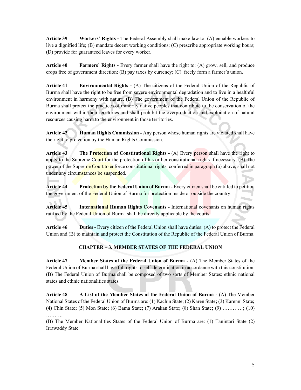**Article 39 Workers' Rights -** The Federal Assembly shall make law to: (A) ennable workers to live a dignified life; (B) mandate decent working conditions; (C) prescribe appropriate working hours; (D) provide for guaranteed leaves for every worker.

**Article 40 Farmers' Rights -** Every farmer shall have the right to: (A) grow, sell, and produce crops free of government direction; (B) pay taxes by currency; (C) freely form a farmer's union.

**Article 41 Environmental Rights -** (A) The citizens of the Federal Union of the Republic of Burma shall have the right to be free from severe environmental degradation and to live in a healthful environment in harmony with nature. (B) The government of the Federal Union of the Republic of Burma shall protect the practices of minority native peoples that contribute to the conservation of the environment within their territories and shall prohibit the overproduction and exploitation of natural resources causing harm to the environment in those territories.

**Article 42 Human Rights Commission -** Any person whose human rights are violated shall have the right to protection by the Human Rights Commission.

**Article 43** The Protection of Constitutional Rights - (A) Every person shall have the right to apply to the Supreme Court for the protection of his or her constitutional rights if necessary.  $(B)$  The power of the Supreme Court to enforce constitutional rights, conferred in paragraph (a) above, shall not under any circumstances be suspended.

**Article 44 Protection by the Federal Union of Burma - Every citizen shall be entitled to petition** the government of the Federal Union of Burma for protection inside or outside the country.

Article 45 **International Human Rights Covenants -** International covenants on human rights ratified by the Federal Union of Burma shall be directly applicable by the courts.

**Article 46 Duties -** Every citizen of the Federal Union shall have duties: (A) to protect the Federal Union and (B) to maintain and protect the Constitution of the Republic of the Federal Union of Burma.

#### **CHAPTER – 3. MEMBER STATES OF THE FEDERAL UNION**

**Article 47 Member States of the Federal Union of Burma -** (A) The Member States of the Federal Union of Burma shall have full rights to self-determination in accordance with this constitution. (B) The Federal Union of Burma shall be composed of two sorts of Member States: ethnic national states and ethnic nationalities states.

**Article 48 A List of the Member States of the Federal Union of Burma -** (A) The Member National States of the Federal Union of Burma are: (1) Kachin State; (2) Karen State**;** (3) Karenni State**;**  (4) Chin State**;** (5) Mon State**;** (6) Bama State; (7) Arakan State**;** (8) Shan State**;** (9) …………**;** (10) ……….

(B) The Member Nationalities States of the Federal Union of Burma are: (1) Tanintari State (2) Irrawaddy State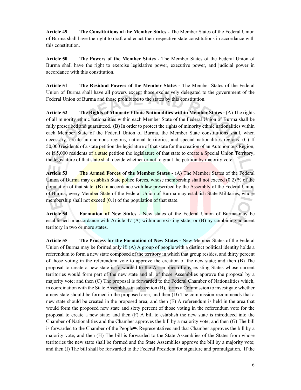**Article 49 The Constitutions of the Member States -** The Member States of the Federal Union of Burma shall have the right to draft and enact their respective state constitutions in accordance with this constitution.

**Article 50 The Powers of the Member States -** The Member States of the Federal Union of Burma shall have the right to exercise legislative power, executive power, and judicial power in accordance with this constitution.

**Article 51 The Residual Powers of the Member States -** The Member States of the Federal Union of Burma shall have all powers except those exclusively delegated to the government of the Federal Union of Burma and those prohibited to the states by this constitution.

**Article 52 The Rights of Minority Ethnic Nationalities within Member States -** (A) The rights of all minority ethnic nationalities within each Member State of the Federal Union of Burma shall be fully prescribed and guaranteed. (B) In order to protect the rights of minority ethnic nationalities within each Member State of the Federal Union of Burma, the Member State constitutions shall, when necessary, create autonomous regions, national territories, and special nationalities regions. (C) If 50,000 residents of a state petition the legislature of that state for the creation of an Autonomous Region, or if 5,000 residents of a state petition the legislature of that state to create a Special Union Territory, the legislature of that state shall decide whether or not to grant the petition by majority vote.

Article 53 The **Armed Forces** of the Member States - (A) The Member States of the Federal Union of Burma may establish State police forces, whose membership shall not exceed (0.2) % of the population of that state.  $(B)$  In accordance with law prescribed by the Assembly of the Federal Union of Burma, every Member State of the Federal Union of Burma may establish State Militaries, whose membership shall not  $exceed (0.1)$  of the population of that state.

**Article 54 Formation of New States -** New states of the Federal Union of Burma may be established in accordance with Article 47 (A) within an existing state; or (B) by combining adjacent territory in two or more states.

**Article 55 The Process for the Formation of New States -** New Member States of the Federal Union of Burma may be formed only if: (A) A group of people with a distinct political identity holds a referendum to form a new state composed of the territory in which that group resides, and thirty percent of those voting in the referendum vote to approve the creation of the new state; and then (B) The proposal to create a new state is forwarded to the Assemblies of any existing States whose current territories would form part of the new state and all of those Assemblies approve the proposal by a majority vote; and then (C) The proposal is forwarded to the Federal Chamber of Nationalities which, in coordination with the State Assemblies in subsection (B), forms a Commission to investigate whether a new state should be formed in the proposed area; and then (D) The commission recommends that a new state should be created in the proposed area; and then (E) A referendum is held in the area that would form the proposed new state and sixty percent of those voting in the referendum vote for the proposal to create a new state; and then (F) A bill to establish the new state is introduced into the Chamber of Nationalities and the Chamber approves the bill by a majority vote; and then (G) The bill is forwarded to the Chamber of the People=s Representatives and that Chamber approves the bill by a majority vote; and then (H) The bill is forwarded to the State Assemblies of the States from whose territories the new state shall be formed and the State Assemblies approve the bill by a majority vote; and then (I) The bill shall be forwarded to the Federal President for signature and promulgation. If the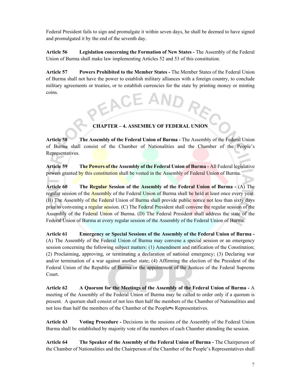Federal President fails to sign and promulgate it within seven days, he shall be deemed to have signed and promulgated it by the end of the seventh day.

**Article 56 Legislation concerning the Formation of New States -** The Assembly of the Federal Union of Burma shall make law implementing Articles 52 and 53 of this constitution.

**Article 57 Powers Prohibited to the Member States -** The Member States of the Federal Union of Burma shall not have the power to establish military alliances with a foreign country, to conclude military agreements or treaties, or to establish currencies for the state by printing money or minting coins.

#### **CHAPTER – 4. ASSEMBLY OF FEDERAL UNION**

**Article 58 The Assembly of the Federal Union of Burma -** The Assembly of the Federal Union of Burma shall consist of the Chamber of Nationalities and the Chamber of the People's Representatives.

**Article 59 The Powers of the Assembly of the Federal Union of Burma -** All Federal legislative powers granted by this constitution shall be vested in the Assembly of Federal Union of Burma.

Article 60 The Regular Session of the Assembly of the Federal Union of Burma - **(A)** The regular session of the **Assembly** of the Federal Union of Burma shall be held at least once every year. (B) The Assembly of the Federal Union of Burma shall provide public notice not less than sixty days prior to convening a regular session. (C) The Federal President shall convene the regular session of the Assembly of the Federal Union of Burma. (D) The Federal President shall address the state of the Federal Union of Burma at every regular session of the Assembly of the Federal Union of Burma.

**Article 61 Emergency or Special Sessions of the Assembly of the Federal Union of Burma -**  (A) The Assembly of the Federal Union of Burma may convene a special session or an emergency session concerning the following subject matters: (1) Amendment and ratification of the Constitution; (2) Proclaiming, approving, or terminating a declaration of national emergency; (3) Declaring war and/or termination of a war against another state; (4) Affirming the election of the President of the Federal Union of the Republic of Burma or the appointment of the Justices of the Federal Supreme Court.

**Article 62 A Quorum for the Meetings of the Assembly of the Federal Union of Burma -** A meeting of the Assembly of the Federal Union of Burma may be called to order only if a quorum is present. A quorum shall consist of not less then half the members of the Chamber of Nationalities and not less than half the members of the Chamber of the People=s Representatives.

**Article 63 Voting Procedure -** Decisions in the sessions of the Assembly of the Federal Union Burma shall be established by majority vote of the members of each Chamber attending the session.

**Article 64 The Speaker of the Assembly of the Federal Union of Burma -** The Chairperson of the Chamber of Nationalities and the Chairperson of the Chamber of the People's Representatives shall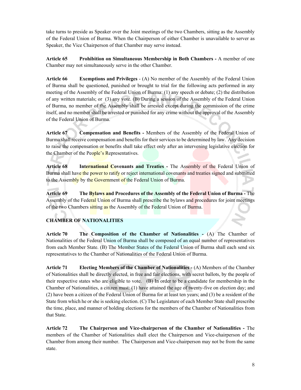take turns to preside as Speaker over the Joint meetings of the two Chambers, sitting as the Assembly of the Federal Union of Burma. When the Chairperson of either Chamber is unavailable to server as Speaker, the Vice Chairperson of that Chamber may serve instead.

**Article 65 Prohibition on Simultaneous Membership in Both Chambers -** A member of one Chamber may not simultaneously serve in the other Chamber.

**Article 66 Exemptions and Privileges** - (A) No member of the Assembly of the Federal Union of Burma shall be questioned, punished or brought to trial for the following acts performed in any meeting of the Assembly of the Federal Union of Burma: (1) any speech or debate; (2) the distribution of any written materials; or (3) any vote. (B) During a session of the Assembly of the Federal Union of Burma, no member of the Assembly shall be arrested except during the commission of the crime itself, and no member shall be arrested or punished for any crime without the approval of the Assembly of the Federal Union of Burma.

**Article 67 Compensation and Benefits -** Members of the Assembly of the Federal Union of Burma shall receive compensation and benefits for their services to be determined by law. Any decision to raise the compensation or benefits shall take effect only after an intervening legislative election for the Chamber of the People's Representatives.

**Article 68 International Covenants and Treaties -** The Assembly of the Federal Union of Burma shall have the power to ratify or reject international covenants and treaties signed and submitted to the Assembly by the Government of the Federal Union of Burma.

**Article 69 The Bylaws and Procedures of the Assembly of the Federal Union of Burma -** The Assembly of the Federal Union of Burma shall prescribe the bylaws and procedures for joint meetings of the two Chambers sitting as the Assembly of the Federal Union of Burma.

#### **CHAMBER OF NATIONALITIES**

**Article 70 The Composition of the Chamber of Nationalities -** (A) The Chamber of Nationalities of the Federal Union of Burma shall be composed of an equal number of representatives from each Member State. (B) The Member States of the Federal Union of Burma shall each send six representatives to the Chamber of Nationalities of the Federal Union of Burma.

**Article 71 Electing Members of the Chamber of Nationalities -** (A) Members of the Chamber of Nationalities shall be directly elected, in free and fair elections, with secret ballots, by the people of their respective states who are eligible to vote. (B) In order to be a candidate for membership in the Chamber of Nationalities, a citizen must: (1) have attained the age of twenty-five on election day; and (2) have been a citizen of the Federal Union of Burma for at least ten years; and (3) be a resident of the State from which he or she is seeking election. (C) The Legislature of each Member State shall prescribe the time, place, and manner of holding elections for the members of the Chamber of Nationalities from that State.

**Article 72 The Chairperson and Vice-chairperson of the Chamber of Nationalities -** The members of the Chamber of Nationalities shall elect the Chairperson and Vice-chairperson of the Chamber from among their number. The Chairperson and Vice-chairperson may not be from the same state.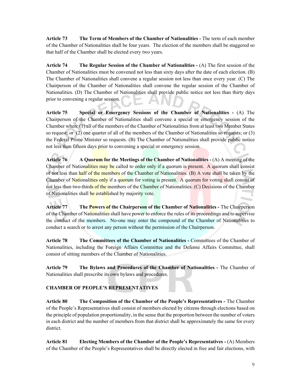**Article 73 The Term of Members of the Chamber of Nationalities -** The term of each member of the Chamber of Nationalities shall be four years. The election of the members shall be staggered so that half of the Chamber shall be elected every two years.

**Article 74 The Regular Session of the Chamber of Nationalities -** (A) The first session of the Chamber of Nationalities must be convened not less than sixty days after the date of each election. (B) The Chamber of Nationalities shall convene a regular session not less than once every year. (C) The Chairperson of the Chamber of Nationalities shall convene the regular session of the Chamber of Nationalities. (D) The Chamber of Nationalities shall provide public notice not less than thirty days prior to convening a regular session.

**Article 75 Special or Emergency Sessions of the Chamber of Nationalities -** (A) The Chairperson of the Chamber of Nationalities shall convene a special or emergency session of the Chamber when: (1) all of the members of the Chamber of Nationalities from at least two Member States so request; or (2) one quarter of all of the members of the Chamber of Nationalities so requests; or (3) the Federal Prime Minister so requests. (B) The Chamber of Nationalities shall provide public notice not less than fifteen days prior to convening a special or emergency session.

**Article 76 A Quorum for the Meetings of the Chamber of Nationalities -** (A) A meeting of the Chamber of Nationalities may be called to order only if a quorum is present. A quorum shall consist of not less than half of the members of the Chamber of Nationalities. (B) A vote shall be taken by the Chamber of Nationalities only if a quorum for voting is present. A quorum for voting shall consist of not less than two-thirds of the members of the Chamber of Nationalities. (C) Decisions of the Chamber of Nationalities shall be established by majority vote.

Article 77 The Powers of the Chairperson of the Chamber of Nationalities - The Chairperson of the Chamber of Nationalities shall have power to enforce the rules of its proceedings and to supervise the conduct of the members. No-one may enter the compound of the Chamber of Nationalities to conduct a search or to arrest any person without the permission of the Chairperson.

**Article 78 The Committees of the Chamber of Nationalities -** Committees of the Chamber of Nationalities, including the Foreign Affairs Committee and the Defense Affairs Committee, shall consist of sitting members of the Chamber of Nationalities.

**Article 79 The Bylaws and Procedures of the Chamber of Nationalities -** The Chamber of Nationalities shall prescribe its own bylaws and procedures.

#### **CHAMBER OF PEOPLE'S REPRESENTATIVES**

**Article 80 The Composition of the Chamber of the People's Representatives -** The Chamber of the People's Representatives shall consist of members elected by citizens through elections based on the principle of population proportionality, in the sense that the proportion between the number of voters in each district and the number of members from that district shall be approximately the same for every district.

**Article 81 Electing Members of the Chamber of the People's Representatives -** (A) Members of the Chamber of the People's Representatives shall be directly elected in free and fair elections, with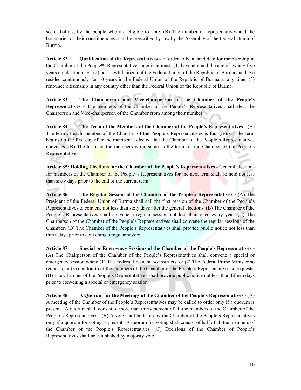secret ballots, by the people who are eligible to vote. (B) The number of representatives and the boundaries of their constituencies shall be prescribed by law by the Assembly of the Federal Union of Burma.

**Article 82 Qualification of the Representatives -** In order to be a candidate for membership in the Chamber of the People=s Representatives, a citizen must:  $(1)$  have attained the age of twenty five years on election day; (2) be a lawful citizen of the Federal Union of the Republic of Burma and have resided continuously for 10 years in the Federal Union of the Republic of Burma at any time; (3) renounce citizenship in any country other than the Federal Union of the Republic of Burma.

**Article 83 The Chairperson and Vice-chairperson of the Chamber of the People's Representatives -** The members of the Chamber of the People's Representatives shall elect the Chairperson and Vice-chairperson of the Chamber from among their number.

**Article 84 The Term of the Members of the Chamber of the People's Representatives -** (A) The term of each member of the Chamber of the People's Representatives is four years. The term begins on the first day after the member is elected that the Chamber of the People's Representatives convenes. (B) The term for the members is the same as the term for the Chamber of the People's Representatives.

Article 85: Holding **Elections for the Chamber of the People's Representatives -** General elections for members of the Chamber of the People=s Representatives for the next term shall be held not less than sixty days prior to the end of the current term.

**Article 86 The Regular Session of the Chamber of the People's Representatives -** (A) The President of the Federal Union of Burma shall call the first session of the Chamber of the People's Representatives to convene not less than sixty days after the general elections. (B) The Chamber of the People's Representatives shall convene a regular session not less than once every year. (C) The Chairperson of the Chamber of the People's Representatives shall convene the regular sessions of the Chamber. (D) The Chamber of the People's Representatives shall provide public notice not less than thirty days prior to convening a regular session.

**Article 87 Special or Emergency Sessions of the Chamber of the People's Representatives -**  (A) The Chairperson of the Chamber of the People's Representatives shall convene a special or emergency session when: (1) The Federal President so instructs; or (2) The Federal Prime Minister so requests; or (3) one fourth of the members of the Chamber of the People's Representatives so requests. (B) The Chamber of the People's Representatives shall provide public notice not less than fifteen days prior to convening a special or emergency session.

**Article 88 A Quorum for the Meetings of the Chamber of the People's Representatives -** (A) A meeting of the Chamber of the People's Representatives may be called to order only if a quorum is present. A quorum shall consist of more than thirty percent of all the members of the Chamber of the People's Representatives. (B) A vote shall be taken by the Chamber of the People's Representatives only if a quorum for voting is present. A quorum for voting shall consist of half of all the members of the Chamber of the People's Representatives. (C) Decisions of the Chamber of People's Representatives shall be established by majority vote.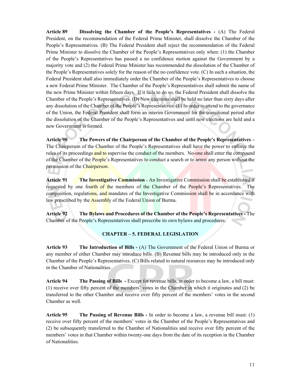**Article 89 Dissolving the Chamber of the People's Representatives -** (A) The Federal President, on the recommendation of the Federal Prime Minister, shall dissolve the Chamber of the People's Representatives. (B) The Federal President shall reject the recommendation of the Federal Prime Minister to dissolve the Chamber of the People's Representatives only when: (1) the Chamber of the People's Representatives has passed a no confidence motion against the Government by a majority vote and (2) the Federal Prime Minister has recommended the dissolution of the Chamber of the People's Representatives solely for the reason of the no confidence vote. (C) In such a situation, the Federal President shall also immediately order the Chamber of the People's Representatives to choose a new Federal Prime Minister. The Chamber of the People's Representatives shall submit the name of the new Prime Minister within fifteen days. If it fails to do so, the Federal President shall dissolve the Chamber of the People's Representatives. (D) New elections shall be held no later than sixty days after any dissolution of the Chamber of the People's Representatives. (E) In order to attend to the governance of the Union, the Federal President shall form an interim Government for the transitional period after the dissolution of the Chamber of the People's Representatives and until new elections are held and a new Government is formed.

**Article 90 The Powers of the Chairperson of the Chamber of the People's Representatives –**  The Chairperson of the Chamber of the People's Representatives shall have the power to enforce the rules of its proceedings and to supervise the conduct of the members. No-one shall enter the compound of the Chamber of the People's Representatives to conduct a search or to arrest any person without the permission of the Chairperson.

**Article 91 The Investigative Commission** - An Investigative Commission shall be established if requested by one fourth of the members of the Chamber of the People's Representatives. composition, regulations, and mandates of the Investigative Commission shall be in accordance with law prescribed by the **Assembly** of the Federal Union of Burma.

**Article 92 The Bylaws and Procedures of the Chamber of the People's Representatives -** The Chamber of the People's Representatives shall prescribe its own bylaws and procedures.

#### **CHAPTER – 5. FEDERAL LEGISLATION**

**Article 93 The Introduction of Bills -** (A) The Government of the Federal Union of Burma or any member of either Chamber may introduce bills. (B) Revenue bills may be introduced only in the Chamber of the People's Representatives. (C) Bills related to natural resources may be introduced only in the Chamber of Nationalities.

**Article 94 The Passing of Bills -** Except for revenue bills, in order to become a law, a bill must: (1) receive over fifty percent of the members' votes in the Chamber in which it originates and (2) be transferred to the other Chamber and receive over fifty percent of the members' votes in the second Chamber as well.

**Article 95 The Passing of Revenue Bills -** In order to become a law, a revenue bill must: (1) receive over fifty percent of the members' votes in the Chamber of the People's Representatives and (2) be subsequently transferred to the Chamber of Nationalities and receive over fifty percent of the members' votes in that Chamber within twenty-one days from the date of its reception in the Chamber of Nationalities.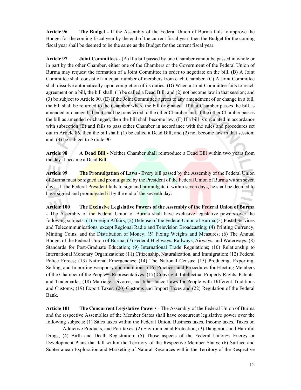**Article 96 The Budget -** If the Assembly of the Federal Union of Burma fails to approve the Budget for the coming fiscal year by the end of the current fiscal year, then the Budget for the coming fiscal year shall be deemed to be the same as the Budget for the current fiscal year.

**Article 97 Joint Committees -** (A) If a bill passed by one Chamber cannot be passed in whole or in part by the other Chamber, either one of the Chambers or the Government of the Federal Union of Burma may request the formation of a Joint Committee in order to negotiate on the bill. (B) A Joint Committee shall consist of an equal number of members from each Chamber. (C) A Joint Committee shall dissolve automatically upon completion of its duties. (D) When a Joint Committee fails to reach agreement on a bill, the bill shall: (1) be called a Dead Bill; and (2) not become law in that session; and (3) be subject to Article 90. (E) If the Joint Committee agrees to any amendment of or change in a bill, the bill shall be returned to the Chamber where the bill originated. If that Chamber passes the bill as amended or changed, then it shall be transferred to the other Chamber and, if the other Chamber passes the bill as amended or changed, then the bill shall become law. (F) If a bill is circulated in accordance with subsection (E) and fails to pass either Chamber in accordance with the rules and procedures set out in Article 86, then the bill shall: (1) be called a Dead Bill; and (2) not become law in that session; and (3) be subject to Article 90.

**Article 98 A Dead Bill -** Neither Chamber shall reintroduce a Dead Bill within two years from the day it became a Dead Bill.

**Article 99 The Promulgation of Laws -** Every bill passed by the Assembly of the Federal Union of Burma must be signed and promulgated by the President of the Federal Union of Burma within seven days. If the Federal President fails to sign and promulgate it within seven days, he shall be deemed to have signed and promulgated it by the end of the seventh day.

**Article 100 The Exclusive Legislative Powers of the Assembly of the Federal Union of Burma -** The Assembly of the Federal Union of Burma shall have exclusive legislative powers over the following subjects: (1) Foreign Affairs; (2) Defense of the Federal Union of Burma;(3) Postal Services and Telecommunications, except Regional Radio and Television Broadcasting; (4) Printing Currency, Minting Coins, and the Distribution of Money; (5) Fixing Weights and Measures; (6) The Annual Budget of the Federal Union of Burma; (7) Federal Highways, Railways, Airways, and Waterways; (8) Standards for Post-Graduate Education; (9) International Trade Regulations; (10) Relationship to International Monetary Organizations; (11) Citizenship, Naturalization, and Immigration; (12) Federal Police Forces; (13) National Emergencies; (14) The National Census; (15) Producing, Exporting, Selling, and Importing weaponry and munitions; (16) Practices and Procedures for Electing Members of the Chamber of the People=s Representatives; (17) Copyright, Intellectual Property Rights, Patents, and Trademarks; (18) Marriage, Divorce, and Inheritance Laws for People with Different Traditions and Customs; (19) Export Taxes; (20) Customs and Import Taxes and (22) Regulation of the Federal Bank.

**Article 101 The Concurrent Legislative Powers** - The Assembly of the Federal Union of Burma and the respective Assemblies of the Member States shall have concurrent legislative power over the following subjects: (1) Sales taxes within the Federal Union, Business taxes, Income taxes, Taxes on

 Addictive Products, and Port taxes: (2) Environmental Protection; (3) Dangerous and Harmful Drugs; (4) Birth and Death Registration; (5) Those aspects of the Federal Union=s Energy or Development Plans that fall within the Territory of the Respective Member States; (6) Surface and Subterranean Exploration and Marketing of Natural Resources within the Territory of the Respective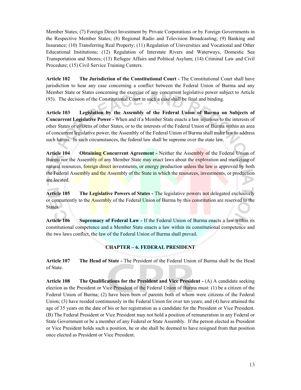Member States; (7) Foreign Direct Investment by Private Corporations or by Foreign Governments in the Respective Member States; (8) Regional Radio and Television Broadcasting; (9) Banking and Insurance; (10) Transferring Real Property; (11) Regulation of Universities and Vocational and Other Educational Institutions; (12) Regulation of Interstate Rivers and Waterways, Domestic Sea Transportation and Shores; (13) Refugee Affairs and Political Asylum; (14) Criminal Law and Civil Procedure; (15) Civil Service Training Centers.

**Article 102 The Jurisdiction of the Constitutional Court -** The Constitutional Court shall have jurisdiction to hear any case concerning a conflict between the Federal Union of Burma and any Member State or States concerning the exercise of any concurrent legislative power subject to Article (93). The decision of the Constitutional Court in such a case shall be final and binding.

**Article 103 Legislation by the Assembly of the Federal Union of Burma on Subjects of Concurrent Legislative Power -** When and if a Member State enacts a law injurious to the interests of other States or citizens of other States, or to the interests of the Federal Union of Burma within an area of concurrent legislative power, the Assembly of the Federal Union of Burma shall make law to address such harms. In such circumstances, the federal law shall be supreme over the state law.

**Article 104 Obtaining Concurrent Agreement -** Neither the Assembly of the Federal Union of Burma nor the Assembly of any Member State may enact laws about the exploration and marketing of natural resources, foreign direct investments, or energy production unless the law is approved by both the Federal Assembly and the Assembly of the State in which the resources, investments, or production are located.

**Article 105 The Legislative Powers of States -** The legislative powers not delegated exclusively or concurrently to the **Assembly** of the Federal Union of Burma by this constitution are reserved to the States.

**Article 106 Supremacy of Federal Law -** If the Federal Union of Burma enacts a law within its constitutional competence and a Member State enacts a law within its constitutional competence and the two laws conflict, the law of the Federal Union of Burma shall prevail.

#### **CHAPTER – 6. FEDERAL PRESIDENT**

**Article 107 The Head of State -** The President of the Federal Union of Burma shall be the Head of State.

**Article 108 The Qualifications for the President and Vice President -** (A) A candidate seeking election as the President or Vice President of the Federal Union of Burma must: (1) be a citizen of the Federal Union of Burma; (2) have been born of parents both of whom were citizens of the Federal Union; (3) have resided continuously in the Federal Union for over ten years; and (4) have attained the age of 35 years on the date of his or her registration as a candidate for the President or Vice President. (B) The Federal President or Vice President may not hold a position of remuneration in any Federal or State Government or be a member of any Federal or State Assembly. If the person elected as President or Vice President holds such a position, he or she shall be deemed to have resigned from that position once elected as President or Vice President.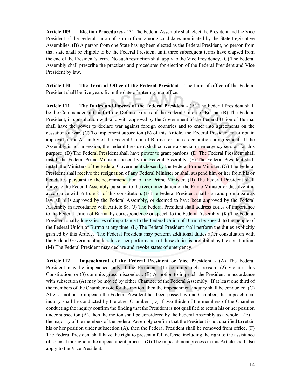**Article 109 Election Procedures -** (A) The Federal Assembly shall elect the President and the Vice President of the Federal Union of Burma from among candidates nominated by the State Legislative Assemblies. (B) A person from one State having been elected as the Federal President, no person from that state shall be eligible to be the Federal President until three subsequent terms have elapsed from the end of the President's term. No such restriction shall apply to the Vice Presidency. (C) The Federal Assembly shall prescribe the practices and procedures for election of the Federal President and Vice President by law.

**Article 110 The Term of Office of the Federal President -** The term of office of the Federal President shall be five years from the date of entering into office.

**Article 111 The Duties and Powers of the Federal President -** (A) The Federal President shall be the Commander-in-Chief of the Defense Forces of the Federal Union of Burma. (B) The Federal President, in consultation with and with approval by the Government of the Federal Union of Burma, shall have the power to declare war against foreign countries and to enter into agreements on the cessation of war. (C) To implement subsection (B) of this Article, the Federal President must obtain approval of the Assembly of the Federal Union of Burma for such a declaration or agreement. If the Assembly is not in session, the Federal President shall convene a special or emergency session for this purpose. (D) The Federal President shall have power to grant pardons. (E) The Federal President shall install the Federal Prime Minister chosen by the Federal Assembly. (F) The Federal President shall install the Ministers of the Federal Government chosen by the Federal Prime Minister. (G) The Federal President shall receive the resignation of any Federal Minister or shall suspend him or her from his or her duties pursuant to the recommendation of the Prime Minister. (H) The Federal President shall convene the Federal Assembly pursuant to the recommendation of the Prime Minister or dissolve it in accordance with Article 81 of this constitution. (I) The Federal President shall sign and promulgate as law all bills approved by the Federal Assembly, or deemed to have been approved by the Federal Assembly in accordance with Article 88. (J) The Federal President shall address issues of importance to the Federal Union of Burma by correspondence or speech to the Federal Assembly. (K) The Federal President shall address issues of importance to the Federal Union of Burma by speech to the people of the Federal Union of Burma at any time. (L) The Federal President shall perform the duties explicitly granted by this Article. The Federal President may perform additional duties after consultation with the Federal Government unless his or her performance of those duties is prohibited by the constitution. (M) The Federal President may declare and revoke states of emergency.

**Article 112 Impeachment of the Federal President or Vice President -** (A) The Federal President may be impeached only if the President: (1) commits high treason; (2) violates this Constitution; or (3) commits gross misconduct. (B) A motion to impeach the President in accordance with subsection (A) may be moved by either Chamber of the Federal Assembly. If at least one third of the members of the Chamber vote for the motion, then the impeachment inquiry shall be conducted. (C) After a motion to impeach the Federal President has been passed by one Chamber, the impeachment inquiry shall be conducted by the other Chamber. (D) If two thirds of the members of the Chamber conducting the inquiry confirm the finding that the President is not qualified to retain his or her position under subsection (A), then the motion shall be considered by the Federal Assembly as a whole. (E) If the majority of the members of the Federal Assembly confirm that the President is not qualified to retain his or her position under subsection (A), then the Federal President shall be removed from office. (F) The Federal President shall have the right to present a full defense, including the right to the assistance of counsel throughout the impeachment process. (G) The impeachment process in this Article shall also apply to the Vice President.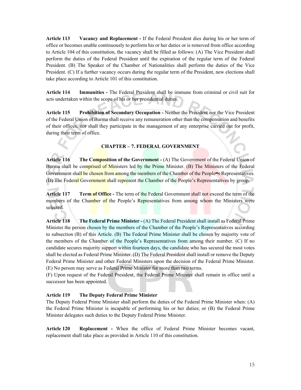**Article 113 Vacancy and Replacement -** If the Federal President dies during his or her term of office or becomes unable continuously to perform his or her duties or is removed from office according to Article 104 of this constitution, the vacancy shall be filled as follows: (A) The Vice President shall perform the duties of the Federal President until the expiration of the regular term of the Federal President. (B) The Speaker of the Chamber of Nationalities shall perform the duties of the Vice President. (C) If a further vacancy occurs during the regular term of the President, new elections shall take place according to Article 101 of this constitution.

**Article 114 Immunities -** The Federal President shall be immune from criminal or civil suit for acts undertaken within the scope of his or her presidential duties.

**Article 115 Prohibition of Secondary Occupation -** Neither the President nor the Vice President of the Federal Union of Burma shall receive any remuneration other than the compensation and benefits of their offices, nor shall they participate in the management of any enterprise carried out for profit, during their term of office.

#### **CHAPTER – 7. FEDERAL GOVERNMENT**

**Article 116 The Composition of the Government -** (A) The Government of the Federal Union of Burma shall be comprised of Ministers led by the Prime Minister. (B) The Ministers of the Federal Government shall be chosen from among the members of the Chamber of the People=s Representatives. (D) The Federal Government shall represent the Chamber of the People's Representatives by group.

**Article 117 Term of Office -** The term of the Federal Government shall not exceed the term of the members of the Chamber of the People's Representatives from among whom the Ministers were selected.

**Article 118 The Federal Prime Minister -** (A) The Federal President shall install as Federal Prime Minister the person chosen by the members of the Chamber of the People's Representatives according to subsection (B) of this Article. (B) The Federal Prime Minister shall be chosen by majority vote of the members of the Chamber of the People's Representatives from among their number. (C) If no candidate secures majority support within fourteen days, the candidate who has secured the most votes shall be elected as Federal Prime Minister. (D) The Federal President shall install or remove the Deputy Federal Prime Minister and other Federal Ministers upon the decision of the Federal Prime Minister. (E) No person may serve as Federal Prime Minister for more than two terms.

(F) Upon request of the Federal President, the Federal Prime Minister shall remain in office until a successor has been appointed.

#### **Article 119 The Deputy Federal Prime Minister**

The Deputy Federal Prime Minister shall perform the duties of the Federal Prime Minister when: (A) the Federal Prime Minister is incapable of performing his or her duties; or (B) the Federal Prime Minister delegates such duties to the Deputy Federal Prime Minister.

**Article 120 Replacement -** When the office of Federal Prime Minister becomes vacant, replacement shall take place as provided in Article 110 of this constitution.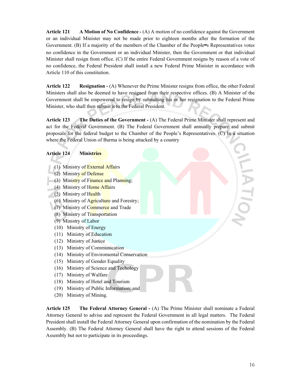**Article 121 A Motion of No Confidence -** (A) A motion of no confidence against the Government or an individual Minister may not be made prior to eighteen months after the formation of the Government. (B) If a majority of the members of the Chamber of the People=s Representatives votes no confidence in the Government or an individual Minister, then the Government or that individual Minister shall resign from office. (C) If the entire Federal Government resigns by reason of a vote of no confidence, the Federal President shall install a new Federal Prime Minister in accordance with Article 110 of this constitution.

**Article 122 Resignation -** (A) Whenever the Prime Minister resigns from office, the other Federal Ministers shall also be deemed to have resigned from their respective offices. (B) A Minister of the Government shall be empowered to resign by submitting his or her resignation to the Federal Prime Minister, who shall then submit it to the Federal President.

**Article 123 The Duties of the Government -** (A) The Federal Prime Minister shall represent and act for the Federal Government. (B) The Federal Government shall annually prepare and submit proposals for the federal budget to the Chamber of the People's Representatives. (C) In a situation where the Federal Union of Burma is being attacked by a country

#### **Article 124 Ministries**

- (1) Ministry of External Affairs
- (2) Ministry of Defense
- (3) Ministry of Finance and Planning;
- (4) Ministry of Home Affairs
- (5) Ministry of Health
- (6) Ministry of Agriculture and Forestry;
- (7) Ministry of Commerce and Trade
- (8) Ministry of Transportation
- (9) Ministry of Labor
- (10) Ministry of Energy
- (11) Ministry of Education
- (12) Ministry of Justice
- (13) Ministry of Communication
- (14) Ministry of Enviromental Conservation
- (15) Ministry of Gender Equality
- (16) Ministry of Science and Techology
- (17) Ministry of Walfare
- (18) Ministry of Hotel and Tourism
- (19) Ministry of Public Information; and
- (20) Ministry of Mining.

**Article 125 The Federal Attorney General -** (A) The Prime Minister shall nominate a Federal Attorney General to advise and represent the Federal Government in all legal matters. The Federal President shall install the Federal Attorney General upon confirmation of the nomination by the Federal Assembly. (B) The Federal Attorney General shall have the right to attend sessions of the Federal Assembly but not to participate in its proceedings.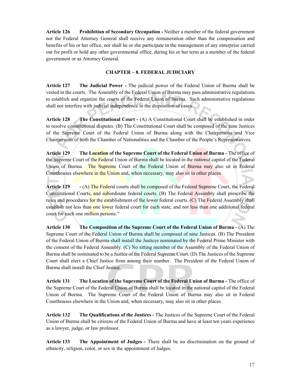**Article 126 Prohibition of Secondary Occupation -** Neither a member of the federal government nor the Federal Attorney General shall receive any remuneration other than the compensation and benefits of his or her office, nor shall he or she participate in the management of any enterprise carried out for profit or hold any other governmental office, during his or her term as a member of the federal government or as Attorney General.

#### **CHAPTER – 8. FEDERAL JUDICIARY**

**Article 127 The Judicial Power -** The judicial power of the Federal Union of Burma shall be vested in the courts. The Assembly of the Federal Union of Burma may pass administrative regulations to establish and organize the courts of the Federal Union of Burma. Such administrative regulations shall not interfere with judicial independence in the disposition of cases.

**Article 128 The Constitutional Court -** (A) A Constitutional Court shall be established in order to resolve constitutional disputes. (B) The Constitutional Court shall be composed of the nine Justices of the Supreme Court of the Federal Union of Burma along with the Chairpersons and Vice Chairpersons of both the Chamber of Nationalities and the Chamber of the People's Representatives.

**Article 129 The Location of the Supreme Court of the Federal Union of Burma -** The office of the Supreme Court of the Federal Union of Burma shall be located in the national capitol of the Federal Union of Burma. The Supreme Court of the Federal Union of Burma may also sit in Federal Courthouses elsewhere in the Union and, when necessary, may also sit in other places.

**Article 129 -** (A) The Federal courts shall be composed of the Federal Supreme Court, the Federal Constitutional Courts, and subordinate federal courts. (B) The Federal Assembly shall prescribe the rules and procedures for the establishment of the lower federal courts. (C) The Federal Assembly shall establish not less than one lower federal court for each state, and not less than one additional federal court for each one million persons."

**Article 130 The Composition of the Supreme Court of the Federal Union of Burma -** (A) The Supreme Court of the Federal Union of Burma shall be composed of nine Justices. (B) The President of the Federal Union of Burma shall install the Justices nominated by the Federal Prime Minister with the consent of the Federal Assembly. (C) No sitting member of the Assembly of the Federal Union of Burma shall be nominated to be a Justice of the Federal Supreme Court. (D) The Justices of the Supreme Court shall elect a Chief Justice from among their number. The President of the Federal Union of Burma shall install the Chief Justice.

**Article 131 The Location of the Supreme Court of the Federal Union of Burma -** The office of the Supreme Court of the Federal Union of Burma shall be located in the national capitol of the Federal Union of Burma. The Supreme Court of the Federal Union of Burma may also sit in Federal Courthouses elsewhere in the Union and, when necessary, may also sit in other places.

**Article 132 The Qualifications of the Justices -** The Justices of the Supreme Court of the Federal Union of Burma shall be citizens of the Federal Union of Burma and have at least ten years experience as a lawyer, judge, or law professor.

**Article 133 The Appointment of Judges -** There shall be no discrimination on the ground of ethnicity, religion, color, or sex in the appointment of Judges.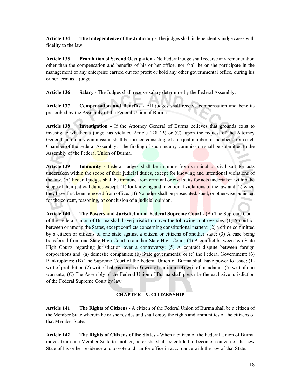**Article 134 The Independence of the Judiciary -** The judges shall independently judge cases with fidelity to the law.

**Article 135 Prohibition of Second Occupation -** No Federal judge shall receive any remuneration other than the compensation and benefits of his or her office, nor shall he or she participate in the management of any enterprise carried out for profit or hold any other governmental office, during his or her term as a judge.

**Article 136 Salary -** The Judges shall receive salary determine by the Federal Assembly.

**Article 137 Compensation and Benefits -** All judges shall receive compensation and benefits prescribed by the Assembly of the Federal Union of Burma.

**Article 138 Investigation -** If the Attorney General of Burma believes that grounds exist to investigate whether a judge has violated Article 128 (B) or (C), upon the request of the Attorney General, an inquiry commission shall be formed consisting of an equal number of members from each Chamber of the Federal Assembly. The finding of such inquiry commission shall be submitted to the Assembly of the Federal Union of Burma.

**Article 139 Immunity -** Federal judges shall be immune from criminal or civil suit for acts undertaken within the scope of their judicial duties, except for knowing and intentional violations of the law. (A) Federal judges shall be immune from criminal or civil suits for acts undertaken within the scope of their judicial duties except:  $(1)$  for knowing and intentional violations of the law and  $(2)$  when they have first been removed from office. (B) No judge shall be prosecuted, sued, or otherwise punished for the content, reasoning, or conclusion of a judicial opinion.

**Article 140 The Powers and Jurisdiction of Federal Supreme Court -** (A) The Supreme Court of the Federal Union of Burma shall have jurisdiction over the following controversies: (1) A conflict between or among the States, except conflicts concerning constitutional matters: (2) a crime committed by a citizen or citizens of one state against a citizen or citizens of another state; (3) A case being transferred from one State High Court to another State High Court; (4) A conflict between two State High Courts regarding jurisdiction over a controversy; (5) A contract dispute between foreign corporations and: (a) domestic companies; (b) State governments; or (c) the Federal Government; (6) Bankruptcies; (B) The Supreme Court of the Federal Union of Burma shall have power to issue; (1) writ of prohibition (2) writ of habeas corpus (3) writ of certiorari (4) writ of mandamus (5) writ of quo warranto; (C) The Assembly of the Federal Union of Burma shall prescribe the exclusive jurisdiction of the Federal Supreme Court by law.

#### **CHAPTER – 9. CITIZENSHIP**

**Article 141 The Rights of Citizens -** A citizen of the Federal Union of Burma shall be a citizen of the Member State wherein he or she resides and shall enjoy the rights and immunities of the citizens of that Member State.

**Article 142 The Rights of Citizens of the States -** When a citizen of the Federal Union of Burma moves from one Member State to another, he or she shall be entitled to become a citizen of the new State of his or her residence and to vote and run for office in accordance with the law of that State.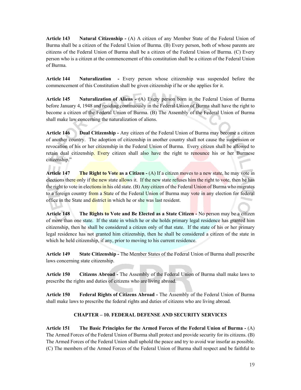**Article 143 Natural Citizenship -** (A) A citizen of any Member State of the Federal Union of Burma shall be a citizen of the Federal Union of Burma. (B) Every person, both of whose parents are citizens of the Federal Union of Burma shall be a citizen of the Federal Union of Burma. (C) Every person who is a citizen at the commencement of this constitution shall be a citizen of the Federal Union of Burma.

**Article 144 Naturalization -** Every person whose citizenship was suspended before the commencement of this Constitution shall be given citizenship if he or she applies for it.

**Article 145 Naturalization of Aliens -** (A) Every person born in the Federal Union of Burma before January 4, 1948 and residing continuously in the Federal Union of Burma shall have the right to become a citizen of the Federal Union of Burma. (B) The Assembly of the Federal Union of Burma shall make law concerning the naturalization of aliens.

**Article 146 Dual Citizenship -** Any citizen of the Federal Union of Burma may become a citizen of another country. The adoption of citizenship in another country shall not cause the suspension or revocation of his or her citizenship in the Federal Union of Burma. Every citizen shall be allowed to retain dual citizenship. Every citizen shall also have the right to renounce his or her Burmese citizenship."

**Article 147** The Right to Vote as a Citizen - (A) If a citizen moves to a new state, he may vote in elections there only if the new state allows it. If the new state refuses him the right to vote, then he has the right to vote in elections in his old state. (B) Any citizen of the Federal Union of Burma who migrates to a foreign country from a State of the Federal Union of Burma may vote in any election for federal office in the State and district in which he or she was last resident.

**Article 148 The Rights to Vote and Be Elected as a State Citizen -** No person may be a citizen of more than one state. If the state in which he or she holds primary legal residence has granted him citizenship, then he shall be considered a citizen only of that state. If the state of his or her primary legal residence has not granted him citizenship, then he shall be considered a citizen of the state in which he held citizenship, if any, prior to moving to his current residence.

**Article 149 State Citizenship -** The Member States of the Federal Union of Burma shall prescribe laws concerning state citizenship.

**Article 150 Citizens Abroad -** The Assembly of the Federal Union of Burma shall make laws to prescribe the rights and duties of citizens who are living abroad.

**Article 150 Federal Rights of Citizens Abroad -** The Assembly of the Federal Union of Burma shall make laws to prescribe the federal rights and duties of citizens who are living abroad.

#### **CHAPTER – 10. FEDERAL DEFENSE AND SECURITY SERVICES**

**Article 151 The Basic Principles for the Armed Forces of the Federal Union of Burma -** (A) The Armed Forces of the Federal Union of Burma shall protect and provide security for its citizens. (B) The Armed Forces of the Federal Union shall uphold the peace and try to avoid war insofar as possible. (C) The members of the Armed Forces of the Federal Union of Burma shall respect and be faithful to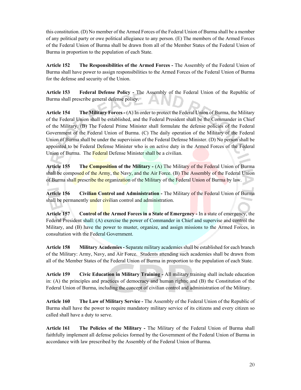this constitution. (D) No member of the Armed Forces of the Federal Union of Burma shall be a member of any political party or owe political allegiance to any person. (E) The members of the Armed Forces of the Federal Union of Burma shall be drawn from all of the Member States of the Federal Union of Burma in proportion to the population of each State.

**Article 152 The Responsibilities of the Armed Forces -** The Assembly of the Federal Union of Burma shall have power to assign responsibilities to the Armed Forces of the Federal Union of Burma for the defense and security of the Union.

**Article 153 Federal Defense Policy -** The Assembly of the Federal Union of the Republic of Burma shall prescribe general defense policy.

**Article 154 The Military Forces -** (A) In order to protect the Federal Union of Burma, the Military of the Federal Union shall be established, and the Federal President shall be the Commander in Chief of the Military. (B) The Federal Prime Minister shall formulate the defense policies of the Federal Government of the Federal Union of Burma. (C) The daily operation of the Military of the Federal Union of Burma shall be under the supervision of the Federal Defense Minister. (D) No person shall be appointed to be Federal Defense Minister who is on active duty in the Armed Forces of the Federal Union of Burma. The Federal Defense Minister shall be a civilian.

**Article 155 The Composition of the Military -** (A) The Military of the Federal Union of Burma shall be composed of the Army, the Navy, and the Air Force. (B) The Assembly of the Federal Union of Burma shall prescribe the organization of the Military of the Federal Union of Burma by law.

**Article 156 Civilian Control and Administration -** The Military of the Federal Union of Burma shall be permanently under civilian control and administration.

**Article 157 Control of the Armed Forces in a State of Emergency -** In a state of emergency, the Federal President shall: (A) exercise the power of Commander in Chief and supervise and control the Military, and (B) have the power to muster, organize, and assign missions to the Armed Forces, in consultation with the Federal Government.

**Article 158 Military Academies -** Separate military academies shall be established for each branch of the Military: Army, Navy, and Air Force. Students attending such academies shall be drawn from all of the Member States of the Federal Union of Burma in proportion to the population of each State.

**Article 159 Civic Education in Military Training -** All military training shall include education in: (A) the principles and practices of democracy and human rights; and (B) the Constitution of the Federal Union of Burma, including the concept of civilian control and administration of the Military.

**Article 160 The Law of Military Service -** The Assembly of the Federal Union of the Republic of Burma shall have the power to require mandatory military service of its citizens and every citizen so called shall have a duty to serve.

**Article 161 The Policies of the Military -** The Military of the Federal Union of Burma shall faithfully implement all defense policies formed by the Government of the Federal Union of Burma in accordance with law prescribed by the Assembly of the Federal Union of Burma.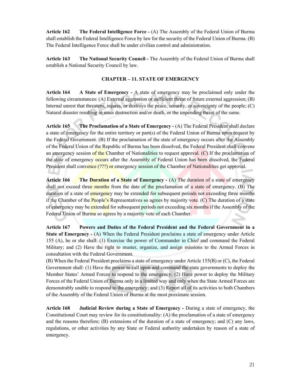**Article 162 The Federal Intelligence Force -** (A) The Assembly of the Federal Union of Burma shall establish the Federal Intelligence Force by law for the security of the Federal Union of Burma. (B) The Federal Intelligence Force shall be under civilian control and administration.

**Article 163 The National Security Council -** The Assembly of the Federal Union of Burma shall establish a National Security Council by law.

#### **CHAPTER – 11. STATE OF EMERGENCY**

**Article 164 A State of Emergency -** A state of emergency may be proclaimed only under the following circumstances: (A) External aggression or sufficient threat of future external aggression; (B) Internal unrest that threatens, injures, or destroys the peace, security, or sovereignty of the people; (C) Natural disaster resulting in mass destruction and/or death, or the impending threat of the same.

**Article 165 The Proclamation of a State of Emergency -** (A) The Federal President shall declare a state of emergency for the entire territory or part(s) of the Federal Union of Burma upon request by the Federal Government. (B) If the proclamation of the state of emergency occurs after the Assembly of the Federal Union of the Republic of Burma has been dissolved, the Federal President shall convene an emergency session of the Chamber of Nationalities to request approval. (C) If the proclamation of the state of emergency occurs after the Assembly of Federal Union has been dissolved, the Federal President shall convence (???) or emergency session of the Chamber of Nationalities get approval.

**Article 166 The Duration of a State of Emergency - (A) The duration of a state of emergency** shall not exceed three months from the date of the proclamation of a state of emergency. (B) The duration of a state of emergency may be extended for subsequent periods not exceeding three months if the Chamber of the **People's** Representatives so agrees by majority vote. (C) The duration of a state of emergency may be extended for subsequent periods not exceeding six months if the Assembly of the Federal Union of Burma so agrees by a majority vote of each Chamber.

**Article 167 Powers and Duties of the Federal President and the Federal Government in a State of Emergency - (A)** When the Federal President proclaims a state of emergency under Article 155 (A), he or she shall: (1) Exercise the power of Commander in Chief and command the Federal Military; and (2) Have the right to muster, organize, and assign missions to the Armed Forces in consultation with the Federal Government.

(B) When the Federal President proclaims a state of emergency under Article 155(B) or (C), the Federal Government shall: (1) Have the power to call upon and command the state governments to deploy the Member States' Armed Forces to respond to the emergency; (2) Have power to deploy the Military Forces of the Federal Union of Burma only in a limited way and only when the State Armed Forces are demonstrably unable to respond to the emergency; and (3) Report all of its activities to both Chambers of the Assembly of the Federal Union of Burma at the most proximate session.

**Article 168 Judicial Review during a State of Emergency -** During a state of emergency, the Constitutional Court may review for its constitutionality: (A) the proclamation of a state of emergency and the reasons therefore; (B) extensions of the duration of a state of emergency; and (C) any laws, regulations, or other activities by any State or Federal authority undertaken by reason of a state of emergency.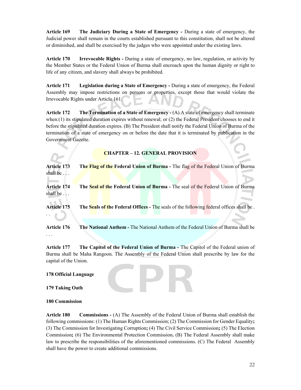**Article 169 The Judiciary During a State of Emergency -** During a state of emergency, the Judicial power shall remain in the courts established pursuant to this constitution, shall not be altered or diminished, and shall be exercised by the judges who were appointed under the existing laws.

**Article 170 Irrevocable Rights -** During a state of emergency, no law, regulation, or activity by the Member States or the Federal Union of Burma shall encroach upon the human dignity or right to life of any citizen, and slavery shall always be prohibited.

**Article 171 Legislation during a State of Emergency -** During a state of emergency, the Federal Assembly may impose restrictions on persons or properties, except those that would violate the Irrevocable Rights under Article 161.

**Article 172 The Termination of a State of Emergency -** (A) A state of emergency shall terminate when:(1) its stipulated duration expires without renewal; or (2) the Federal President chooses to end it before the stipulated duration expires. (B) The President shall notify the Federal Union of Burma of the termination of a state of emergency on or before the date that it is terminated by publication in the Government Gazette.

**CHAPTER – 12. GENERAL PROVISION** 

**Article 173 The Flag of the Federal Union of Burma -** The flag of the Federal Union of Burma shall be . . .

Article 174 The Seal of the Federal Union of Burma - The seal of the Federal Union of Burma shall be . . .

**Article 175 The Seals of the Federal Offices -** The seals of the following federal offices shall be .

**Article 176 The National Anthem -** The National Anthem of the Federal Union of Burma shall be

**Article 177 The Capitol of the Federal Union of Burma -** The Capitol of the Federal union of Burma shall be Maha Rangoon. The Assembly of the Federal Union shall prescribe by law for the capital of the Union.

**178 Official Language** 

**179 Taking Oath** 

. .

. . .

**180 Commission** 

**Article 180 Commissions -** (A) The Assembly of the Federal Union of Burma shall establish the following commissions: (1) The Human Rights Commission; (2) The Commission for Gender Equality**;**  (3) The Commission for Investigating Corruption**;** (4) The Civil Service Commission**;** (5) The Election Commission**;** (6) The Environmental Protection Commission**.** (B) The Federal Assembly shall make law to prescribe the responsibilities of the aforementioned commissions. (C) The Federal Assembly shall have the power to create additional commissions.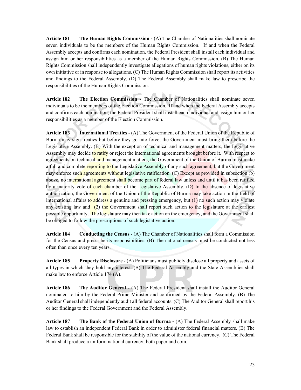**Article 181 The Human Rights Commission -** (A) The Chamber of Nationalities shall nominate seven individuals to be the members of the Human Rights Commission. If and when the Federal Assembly accepts and confirms each nomination, the Federal President shall install each individual and assign him or her responsibilities as a member of the Human Rights Commission. (B) The Human Rights Commission shall independently investigate allegations of human rights violations, either on its own initiative or in response to allegations. (C) The Human Rights Commission shall report its activities and findings to the Federal Assembly. (D) The Federal Assembly shall make law to prescribe the responsibilities of the Human Rights Commission.

**Article 182 The Election Commission -** The Chamber of Nationalities shall nominate seven individuals to be the members of the Election Commission. If and when the Federal Assembly accepts and confirms each nomination, the Federal President shall install each individual and assign him or her responsibilities as a member of the Election Commission.

**Article 183 International Treaties** - (A) The Government of the Federal Union of the Republic of Burma may sign treaties but before they go into force, the Government must bring them before the Legislative Assembly. (B) With the exception of technical and management matters, the Legislative Assembly may decide to ratify or reject the international agreements brought before it. With respect to agreements on technical and management matters, the Government of the Union of Burma must make a full and complete reporting to the Legislative Assembly of any such agreement, but the Government may enforce such agreements without legislative ratification. (C) Except as provided in subsection (b) above, no international agreement shall become part of federal law unless and until it has been ratified by a majority vote of each chamber of the Legislative Assembly. (D) In the absence of legislative authorization, the Government of the Union of the Republic of Burma may take action in the field of international affairs to address a genuine and pressing emergency, but (1) no such action may violate any existing law and  $(2)$  the Government shall report such action to the legislature at the earliest possible opportunity. The legislature may then take action on the emergency, and the Government shall be obliged to follow the prescriptions of such legislative action.

**Article 184 Conducting the Census -** (A) The Chamber of Nationalities shall form a Commission for the Census and prescribe its responsibilities. (B) The national census must be conducted not less often than once every ten years.

**Article 185 Property Disclosure -** (A) Politicians must publicly disclose all property and assets of all types in which they hold any interest. (B) The Federal Assembly and the State Assemblies shall make law to enforce Article 174 (A).

**Article 186 The Auditor General -** (A) The Federal President shall install the Auditor General nominated to him by the Federal Prime Minister and confirmed by the Federal Assembly. (B) The Auditor General shall independently audit all federal accounts. (C) The Auditor General shall report his or her findings to the Federal Government and the Federal Assembly.

Article 187 The Bank of the Federal Union of Burma - (A) The Federal Assembly shall make law to establish an independent Federal Bank in order to administer federal financial matters. (B) The Federal Bank shall be responsible for the stability of the value of the national currency. (C) The Federal Bank shall produce a uniform national currency, both paper and coin.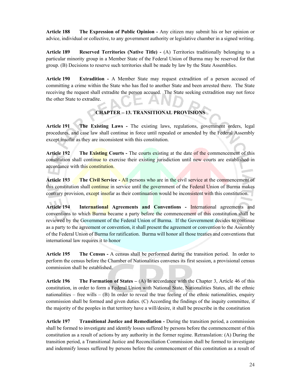**Article 188 The Expression of Public Opinion -** Any citizen may submit his or her opinion or advice, individual or collective, to any government authority or legislative chamber in a signed writing.

**Article 189 Reserved Territories (Native Title) -** (A) Territories traditionally belonging to a particular minority group in a Member State of the Federal Union of Burma may be reserved for that group. (B) Decisions to reserve such territories shall be made by law by the State Assemblies.

**Article 190 Extradition -** A Member State may request extradition of a person accused of committing a crime within the State who has fled to another State and been arrested there. The State receiving the request shall extradite the person accused. The State seeking extradition may not force the other State to extradite.

#### **CHAPTER – 13. TRANSITIONAL PROVISIONS**

**Article 191 The Existing Laws -** The existing laws, regulations, government orders, legal procedures, and case law shall continue in force until repealed or amended by the Federal Assembly except insofar as they are inconsistent with this constitution.

Article 192 The Existing Courts - The courts existing at the date of the commencement of this constitution shall continue to exercise their existing jurisdiction until new courts are established in accordance with this constitution.

**Article 193 The Civil Service -** All persons who are in the civil service at the commencement of this constitution shall continue in service until the government of the Federal Union of Burma makes contrary provision, except insofar as their continuation would be inconsistent with this constitution.

**Article 194 International Agreements and Conventions -** International agreements and conventions to which Burma became a party before the commencement of this constitution shall be reviewed by the Government of the Federal Union of Burma. If the Government decides to continue as a party to the agreement or convention, it shall present the agreement or convention to the Assembly of the Federal Union of Burma for ratification. Burma will honor all those treaties and conventions that international law requires it to honor

**Article 195 The Census -** A census shall be performed during the transition period. In order to perform the census before the Chamber of Nationalities convenes its first session, a provisional census commission shall be established.

**Article 196 The Formation of States –** (A) In accordance with the Chapter 3, Article 46 of this constitution, in order to form a Federal Union with National State, Nationalities States, all the ethnic nationalities – free wills –  $(B)$  In order to reveal the true feeling of the ethnic nationalities, enquiry commission shall be formed and given duties. (C) According the findings of the inquity committee, if the majority of the peoples in that territory have a will/desire, it shall be prescribe in the constitution

**Article 197 Transitional Justice and Remediation -** During the transition period, a commission shall be formed to investigate and identify losses suffered by persons before the commencement of this constitution as a result of actions by any authority in the former regime. Retranslation: (A) During the transition period, a Transitional Justice and Reconciliation Commission shall be formed to investigate and indemnify losses suffered by persons before the commencement of this constitution as a result of